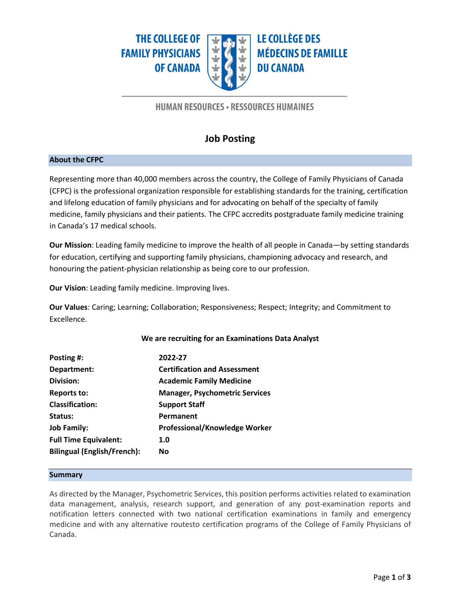**THE COLLEGE OF FAMILY PHYSICIANS OF CANADA** 



**LE COLLÈGE DES MÉDECINS DE FAMILLE DU CANADA** 

## **HUMAN RESOURCES - RESSOURCES HUMAINES**

# **Job Posting**

#### **About the CFPC**

Representing more than 40,000 members across the country, the College of Family Physicians of Canada (CFPC) is the professional organization responsible for establishing standards for the training, certification and lifelong education of family physicians and for advocating on behalf of the specialty of family medicine, family physicians and their patients. The CFPC accredits postgraduate family medicine training in Canada's 17 medical schools.

**Our Mission**: Leading family medicine to improve the health of all people in Canada—by setting standards for education, certifying and supporting family physicians, championing advocacy and research, and honouring the patient-physician relationship as being core to our profession.

**Our Vision**: Leading family medicine. Improving lives.

**Our Values**: Caring; Learning; Collaboration; Responsiveness; Respect; Integrity; and Commitment to Excellence.

## **We are recruiting for an Examinations Data Analyst**

| Posting #:                         | 2022-27                               |
|------------------------------------|---------------------------------------|
| Department:                        | <b>Certification and Assessment</b>   |
| <b>Division:</b>                   | <b>Academic Family Medicine</b>       |
| Reports to:                        | <b>Manager, Psychometric Services</b> |
| <b>Classification:</b>             | <b>Support Staff</b>                  |
| Status:                            | Permanent                             |
| <b>Job Family:</b>                 | Professional/Knowledge Worker         |
| <b>Full Time Equivalent:</b>       | 1.0                                   |
| <b>Bilingual (English/French):</b> | Nο                                    |

#### **Summary**

As directed by the Manager, Psychometric Services, this position performs activities related to examination data management, analysis, research support, and generation of any post-examination reports and notification letters connected with two national certification examinations in family and emergency medicine and with any alternative routesto certification programs of the College of Family Physicians of Canada.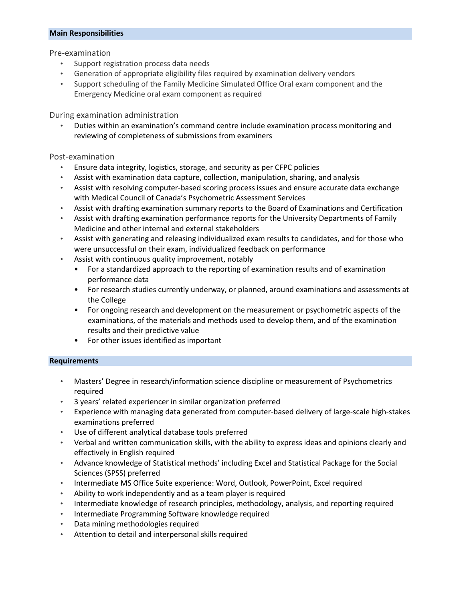#### **Main Responsibilities**

Pre-examination

- Support registration process data needs
- Generation of appropriate eligibility files required by examination delivery vendors
- Support scheduling of the Family Medicine Simulated Office Oral exam component and the Emergency Medicine oral exam component as required

#### During examination administration

• Duties within an examination's command centre include examination process monitoring and reviewing of completeness of submissions from examiners

#### Post-examination

- Ensure data integrity, logistics, storage, and security as per CFPC policies
- Assist with examination data capture, collection, manipulation, sharing, and analysis
- Assist with resolving computer-based scoring process issues and ensure accurate data exchange with Medical Council of Canada's Psychometric Assessment Services
- Assist with drafting examination summary reports to the Board of Examinations and Certification
- Assist with drafting examination performance reports for the University Departments of Family Medicine and other internal and external stakeholders
- Assist with generating and releasing individualized exam results to candidates, and for those who were unsuccessful on their exam, individualized feedback on performance
- Assist with continuous quality improvement, notably
	- For a standardized approach to the reporting of examination results and of examination performance data
	- For research studies currently underway, or planned, around examinations and assessments at the College
	- For ongoing research and development on the measurement or psychometric aspects of the examinations, of the materials and methods used to develop them, and of the examination results and their predictive value
	- For other issues identified as important

#### **Requirements**

- Masters' Degree in research/information science discipline or measurement of Psychometrics required
- 3 years' related experiencer in similar organization preferred
- Experience with managing data generated from computer-based delivery of large-scale high-stakes examinations preferred
- Use of different analytical database tools preferred
- Verbal and written communication skills, with the ability to express ideas and opinions clearly and effectively in English required
- Advance knowledge of Statistical methods' including Excel and Statistical Package for the Social Sciences (SPSS) preferred
- Intermediate MS Office Suite experience: Word, Outlook, PowerPoint, Excel required
- Ability to work independently and as a team player is required
- Intermediate knowledge of research principles, methodology, analysis, and reporting required
- Intermediate Programming Software knowledge required
- Data mining methodologies required
- Attention to detail and interpersonal skills required